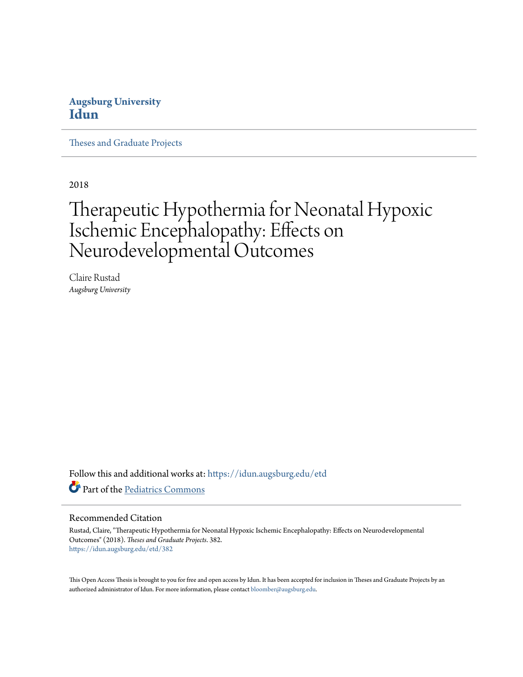#### **Augsburg University [Idun](https://idun.augsburg.edu?utm_source=idun.augsburg.edu%2Fetd%2F382&utm_medium=PDF&utm_campaign=PDFCoverPages)**

[Theses and Graduate Projects](https://idun.augsburg.edu/etd?utm_source=idun.augsburg.edu%2Fetd%2F382&utm_medium=PDF&utm_campaign=PDFCoverPages)

2018

# Therapeutic Hypothermia for Neonatal Hypoxic Ischemic Encephalopathy: Effects on Neurodevelopmental Outcomes

Claire Rustad *Augsburg University*

Follow this and additional works at: [https://idun.augsburg.edu/etd](https://idun.augsburg.edu/etd?utm_source=idun.augsburg.edu%2Fetd%2F382&utm_medium=PDF&utm_campaign=PDFCoverPages) Part of the [Pediatrics Commons](http://network.bepress.com/hgg/discipline/700?utm_source=idun.augsburg.edu%2Fetd%2F382&utm_medium=PDF&utm_campaign=PDFCoverPages)

#### Recommended Citation

Rustad, Claire, "Therapeutic Hypothermia for Neonatal Hypoxic Ischemic Encephalopathy: Effects on Neurodevelopmental Outcomes" (2018). *Theses and Graduate Projects*. 382. [https://idun.augsburg.edu/etd/382](https://idun.augsburg.edu/etd/382?utm_source=idun.augsburg.edu%2Fetd%2F382&utm_medium=PDF&utm_campaign=PDFCoverPages)

This Open Access Thesis is brought to you for free and open access by Idun. It has been accepted for inclusion in Theses and Graduate Projects by an authorized administrator of Idun. For more information, please contact [bloomber@augsburg.edu.](mailto:bloomber@augsburg.edu)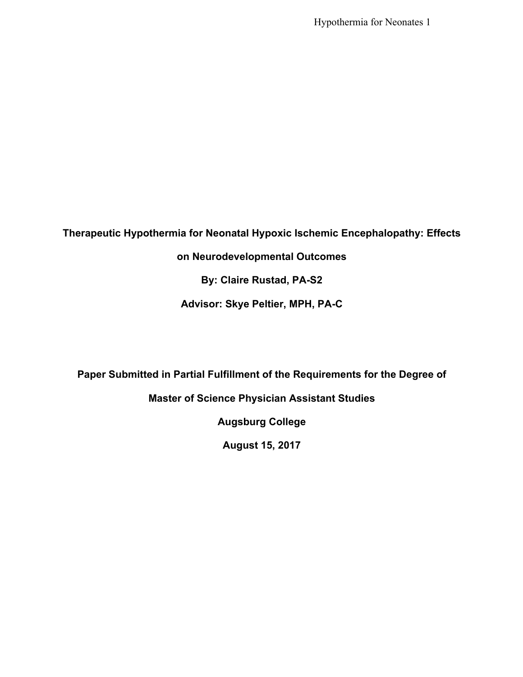Hypothermia for Neonates 1

**Therapeutic Hypothermia for Neonatal Hypoxic Ischemic Encephalopathy: Effects** 

**on Neurodevelopmental Outcomes**

**By: Claire Rustad, PA-S2**

**Advisor: Skye Peltier, MPH, PA-C**

**Paper Submitted in Partial Fulfillment of the Requirements for the Degree of** 

**Master of Science Physician Assistant Studies**

**Augsburg College**

**August 15, 2017**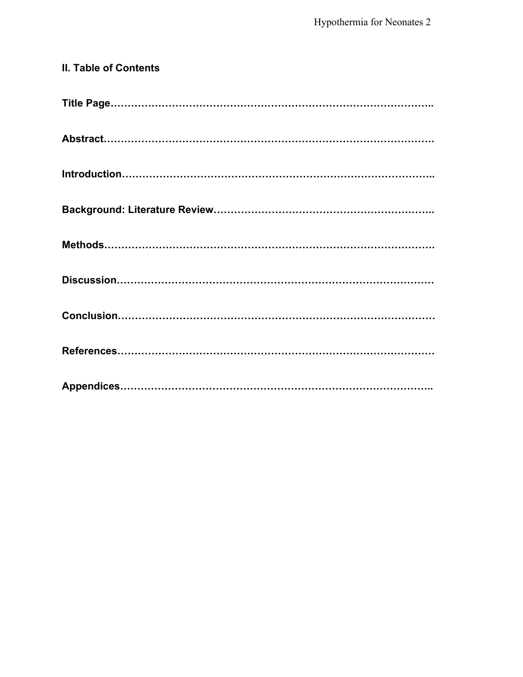# **II. Table of Contents Title Page………………………………………………………………………………….. Abstract……………………………………………………………………………………. Introduction……………………………………………………………………………….. Background: Literature Review……………………………………………………….. Methods……………………………………………………………………………………. Discussion………………………………………………………………………………… Conclusion………………………………………………………………………………… References………………………………………………………………………………… Appendices………………………………………………………………………………..**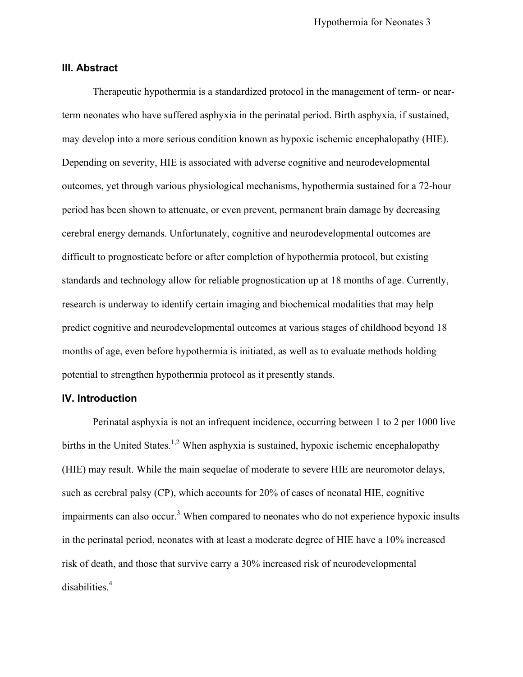#### **III. Abstract**

Therapeutic hypothermia is a standardized protocol in the management of term- or nearterm neonates who have suffered asphyxia in the perinatal period. Birth asphyxia, if sustained, may develop into a more serious condition known as hypoxic ischemic encephalopathy (HIE). Depending on severity, HIE is associated with adverse cognitive and neurodevelopmental outcomes, yet through various physiological mechanisms, hypothermia sustained for a 72-hour period has been shown to attenuate, or even prevent, permanent brain damage by decreasing cerebral energy demands. Unfortunately, cognitive and neurodevelopmental outcomes are difficult to prognosticate before or after completion of hypothermia protocol, but existing standards and technology allow for reliable prognostication up at 18 months of age. Currently, research is underway to identify certain imaging and biochemical modalities that may help predict cognitive and neurodevelopmental outcomes at various stages of childhood beyond 18 months of age, even before hypothermia is initiated, as well as to evaluate methods holding potential to strengthen hypothermia protocol as it presently stands.

#### **IV. Introduction**

Perinatal asphyxia is not an infrequent incidence, occurring between 1 to 2 per 1000 live births in the United States.<sup>1,2</sup> When asphyxia is sustained, hypoxic ischemic encephalopathy (HIE) may result. While the main sequelae of moderate to severe HIE are neuromotor delays, such as cerebral palsy (CP), which accounts for 20% of cases of neonatal HIE, cognitive impairments can also occur.<sup>3</sup> When compared to neonates who do not experience hypoxic insults in the perinatal period, neonates with at least a moderate degree of HIE have a 10% increased risk of death, and those that survive carry a 30% increased risk of neurodevelopmental disabilities. 4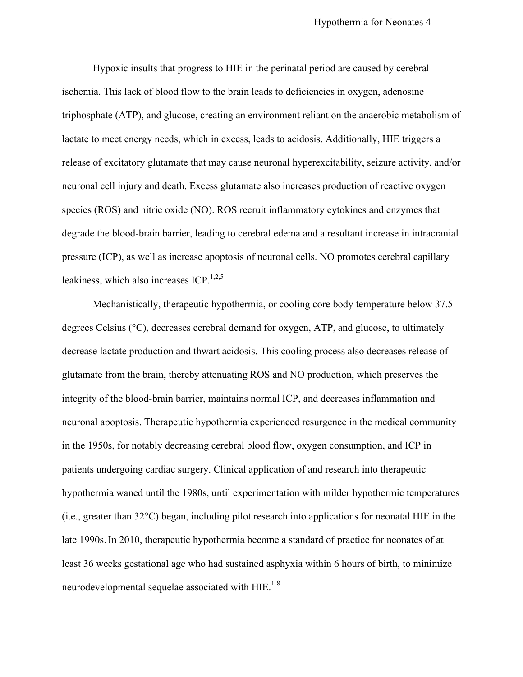Hypoxic insults that progress to HIE in the perinatal period are caused by cerebral ischemia. This lack of blood flow to the brain leads to deficiencies in oxygen, adenosine triphosphate (ATP), and glucose, creating an environment reliant on the anaerobic metabolism of lactate to meet energy needs, which in excess, leads to acidosis. Additionally, HIE triggers a release of excitatory glutamate that may cause neuronal hyperexcitability, seizure activity, and/or neuronal cell injury and death. Excess glutamate also increases production of reactive oxygen species (ROS) and nitric oxide (NO). ROS recruit inflammatory cytokines and enzymes that degrade the blood-brain barrier, leading to cerebral edema and a resultant increase in intracranial pressure (ICP), as well as increase apoptosis of neuronal cells. NO promotes cerebral capillary leakiness, which also increases  $ICP<sub>1,2,5</sub>$ .

Mechanistically, therapeutic hypothermia, or cooling core body temperature below 37.5 degrees Celsius (°C), decreases cerebral demand for oxygen, ATP, and glucose, to ultimately decrease lactate production and thwart acidosis. This cooling process also decreases release of glutamate from the brain, thereby attenuating ROS and NO production, which preserves the integrity of the blood-brain barrier, maintains normal ICP, and decreases inflammation and neuronal apoptosis. Therapeutic hypothermia experienced resurgence in the medical community in the 1950s, for notably decreasing cerebral blood flow, oxygen consumption, and ICP in patients undergoing cardiac surgery. Clinical application of and research into therapeutic hypothermia waned until the 1980s, until experimentation with milder hypothermic temperatures (i.e., greater than 32°C) began, including pilot research into applications for neonatal HIE in the late 1990s. In 2010, therapeutic hypothermia become a standard of practice for neonates of at least 36 weeks gestational age who had sustained asphyxia within 6 hours of birth, to minimize neurodevelopmental sequelae associated with  $HIE$ <sup>1-8</sup>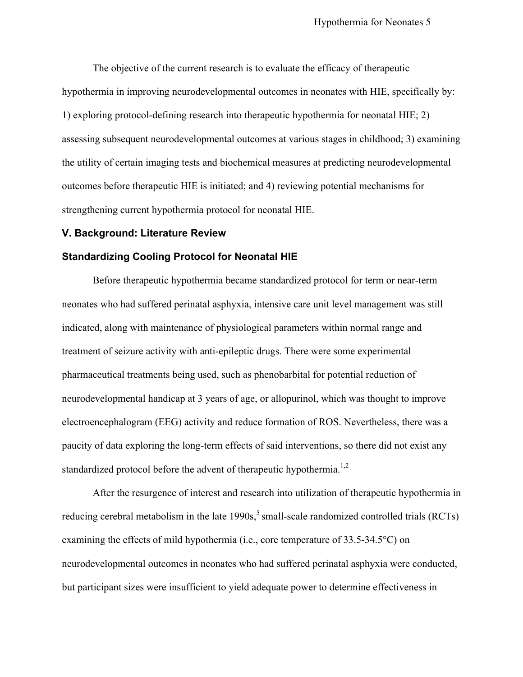The objective of the current research is to evaluate the efficacy of therapeutic hypothermia in improving neurodevelopmental outcomes in neonates with HIE, specifically by: 1) exploring protocol-defining research into therapeutic hypothermia for neonatal HIE; 2) assessing subsequent neurodevelopmental outcomes at various stages in childhood; 3) examining the utility of certain imaging tests and biochemical measures at predicting neurodevelopmental outcomes before therapeutic HIE is initiated; and 4) reviewing potential mechanisms for strengthening current hypothermia protocol for neonatal HIE.

#### **V. Background: Literature Review**

#### **Standardizing Cooling Protocol for Neonatal HIE**

Before therapeutic hypothermia became standardized protocol for term or near-term neonates who had suffered perinatal asphyxia, intensive care unit level management was still indicated, along with maintenance of physiological parameters within normal range and treatment of seizure activity with anti-epileptic drugs. There were some experimental pharmaceutical treatments being used, such as phenobarbital for potential reduction of neurodevelopmental handicap at 3 years of age, or allopurinol, which was thought to improve electroencephalogram (EEG) activity and reduce formation of ROS. Nevertheless, there was a paucity of data exploring the long-term effects of said interventions, so there did not exist any standardized protocol before the advent of therapeutic hypothermia.<sup>1,2</sup>

After the resurgence of interest and research into utilization of therapeutic hypothermia in reducing cerebral metabolism in the late  $1990s$ ,<sup>5</sup> small-scale randomized controlled trials (RCTs) examining the effects of mild hypothermia (i.e., core temperature of 33.5-34.5°C) on neurodevelopmental outcomes in neonates who had suffered perinatal asphyxia were conducted, but participant sizes were insufficient to yield adequate power to determine effectiveness in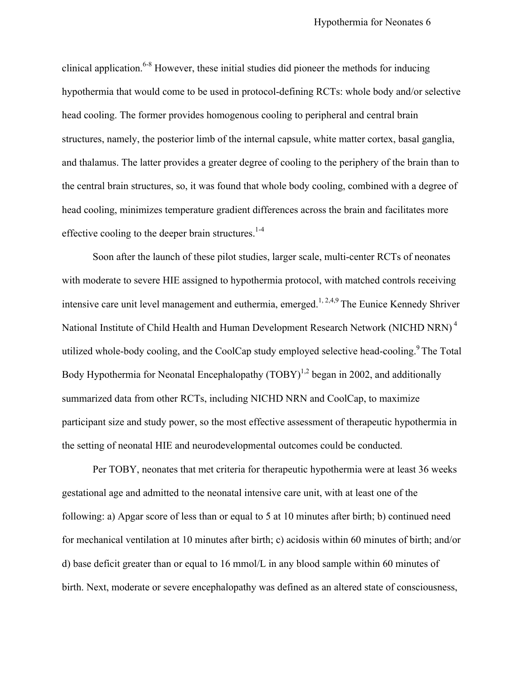clinical application.<sup>6-8</sup> However, these initial studies did pioneer the methods for inducing hypothermia that would come to be used in protocol-defining RCTs: whole body and/or selective head cooling. The former provides homogenous cooling to peripheral and central brain structures, namely, the posterior limb of the internal capsule, white matter cortex, basal ganglia, and thalamus. The latter provides a greater degree of cooling to the periphery of the brain than to the central brain structures, so, it was found that whole body cooling, combined with a degree of head cooling, minimizes temperature gradient differences across the brain and facilitates more effective cooling to the deeper brain structures. $1.4$ 

Soon after the launch of these pilot studies, larger scale, multi-center RCTs of neonates with moderate to severe HIE assigned to hypothermia protocol, with matched controls receiving intensive care unit level management and euthermia, emerged.<sup>1, 2,4,9</sup> The Eunice Kennedy Shriver National Institute of Child Health and Human Development Research Network (NICHD NRN)<sup>4</sup> utilized whole-body cooling, and the CoolCap study employed selective head-cooling.<sup>9</sup> The Total Body Hypothermia for Neonatal Encephalopathy  $(TOBY)^{1,2}$  began in 2002, and additionally summarized data from other RCTs, including NICHD NRN and CoolCap, to maximize participant size and study power, so the most effective assessment of therapeutic hypothermia in the setting of neonatal HIE and neurodevelopmental outcomes could be conducted.

Per TOBY, neonates that met criteria for therapeutic hypothermia were at least 36 weeks gestational age and admitted to the neonatal intensive care unit, with at least one of the following: a) Apgar score of less than or equal to 5 at 10 minutes after birth; b) continued need for mechanical ventilation at 10 minutes after birth; c) acidosis within 60 minutes of birth; and/or d) base deficit greater than or equal to 16 mmol/L in any blood sample within 60 minutes of birth. Next, moderate or severe encephalopathy was defined as an altered state of consciousness,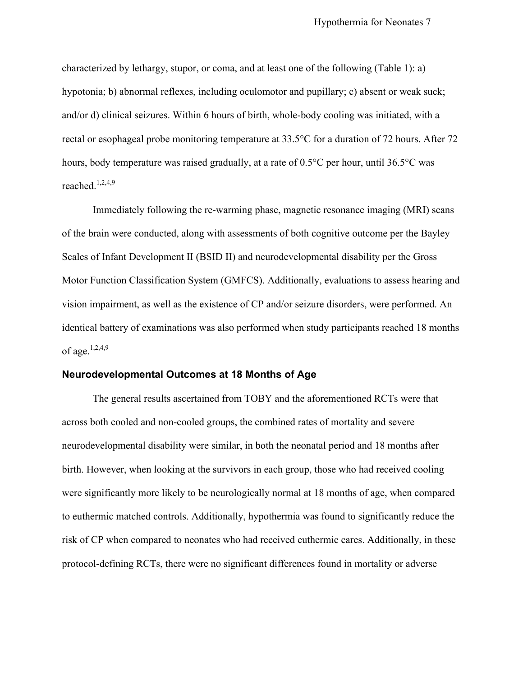characterized by lethargy, stupor, or coma, and at least one of the following (Table 1): a) hypotonia; b) abnormal reflexes, including oculomotor and pupillary; c) absent or weak suck; and/or d) clinical seizures. Within 6 hours of birth, whole-body cooling was initiated, with a rectal or esophageal probe monitoring temperature at 33.5°C for a duration of 72 hours. After 72 hours, body temperature was raised gradually, at a rate of 0.5<sup>o</sup>C per hour, until 36.5<sup>o</sup>C was reached.<sup>1,2,4,9</sup>

Immediately following the re-warming phase, magnetic resonance imaging (MRI) scans of the brain were conducted, along with assessments of both cognitive outcome per the Bayley Scales of Infant Development II (BSID II) and neurodevelopmental disability per the Gross Motor Function Classification System (GMFCS). Additionally, evaluations to assess hearing and vision impairment, as well as the existence of CP and/or seizure disorders, were performed. An identical battery of examinations was also performed when study participants reached 18 months of age. $1,2,4,9$ 

#### **Neurodevelopmental Outcomes at 18 Months of Age**

The general results ascertained from TOBY and the aforementioned RCTs were that across both cooled and non-cooled groups, the combined rates of mortality and severe neurodevelopmental disability were similar, in both the neonatal period and 18 months after birth. However, when looking at the survivors in each group, those who had received cooling were significantly more likely to be neurologically normal at 18 months of age, when compared to euthermic matched controls. Additionally, hypothermia was found to significantly reduce the risk of CP when compared to neonates who had received euthermic cares. Additionally, in these protocol-defining RCTs, there were no significant differences found in mortality or adverse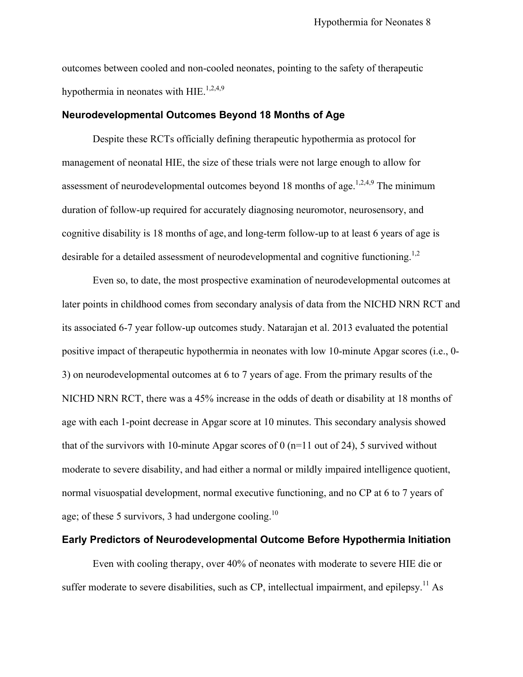outcomes between cooled and non-cooled neonates, pointing to the safety of therapeutic hypothermia in neonates with HIE.<sup>1,2,4,9</sup>

#### **Neurodevelopmental Outcomes Beyond 18 Months of Age**

Despite these RCTs officially defining therapeutic hypothermia as protocol for management of neonatal HIE, the size of these trials were not large enough to allow for assessment of neurodevelopmental outcomes beyond 18 months of age.<sup>1,2,4,9</sup> The minimum duration of follow-up required for accurately diagnosing neuromotor, neurosensory, and cognitive disability is 18 months of age, and long-term follow-up to at least 6 years of age is desirable for a detailed assessment of neurodevelopmental and cognitive functioning.<sup>1,2</sup>

Even so, to date, the most prospective examination of neurodevelopmental outcomes at later points in childhood comes from secondary analysis of data from the NICHD NRN RCT and its associated 6-7 year follow-up outcomes study. Natarajan et al. 2013 evaluated the potential positive impact of therapeutic hypothermia in neonates with low 10-minute Apgar scores (i.e., 0- 3) on neurodevelopmental outcomes at 6 to 7 years of age. From the primary results of the NICHD NRN RCT, there was a 45% increase in the odds of death or disability at 18 months of age with each 1-point decrease in Apgar score at 10 minutes. This secondary analysis showed that of the survivors with 10-minute Apgar scores of 0 ( $n=11$  out of 24), 5 survived without moderate to severe disability, and had either a normal or mildly impaired intelligence quotient, normal visuospatial development, normal executive functioning, and no CP at 6 to 7 years of age; of these 5 survivors, 3 had undergone cooling.<sup>10</sup>

#### **Early Predictors of Neurodevelopmental Outcome Before Hypothermia Initiation**

Even with cooling therapy, over 40% of neonates with moderate to severe HIE die or suffer moderate to severe disabilities, such as  $CP$ , intellectual impairment, and epilepsy.<sup>11</sup> As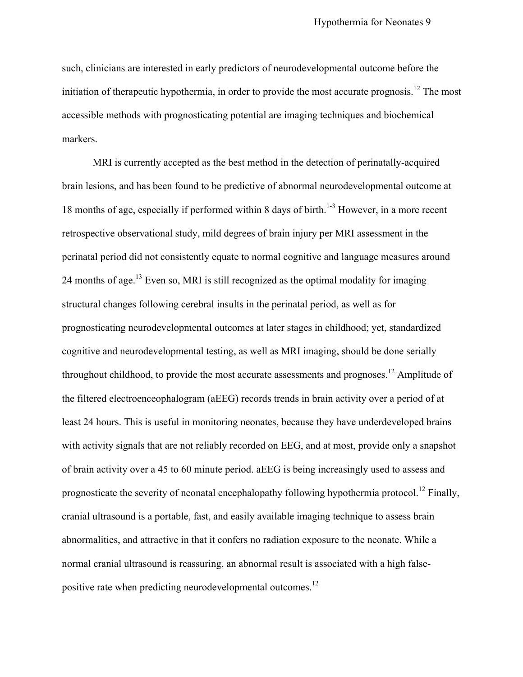such, clinicians are interested in early predictors of neurodevelopmental outcome before the initiation of therapeutic hypothermia, in order to provide the most accurate prognosis.<sup>12</sup> The most accessible methods with prognosticating potential are imaging techniques and biochemical markers.

MRI is currently accepted as the best method in the detection of perinatally-acquired brain lesions, and has been found to be predictive of abnormal neurodevelopmental outcome at 18 months of age, especially if performed within 8 days of birth.<sup>1-3</sup> However, in a more recent retrospective observational study, mild degrees of brain injury per MRI assessment in the perinatal period did not consistently equate to normal cognitive and language measures around 24 months of age.<sup>13</sup> Even so, MRI is still recognized as the optimal modality for imaging structural changes following cerebral insults in the perinatal period, as well as for prognosticating neurodevelopmental outcomes at later stages in childhood; yet, standardized cognitive and neurodevelopmental testing, as well as MRI imaging, should be done serially throughout childhood, to provide the most accurate assessments and prognoses.<sup>12</sup> Amplitude of the filtered electroenceophalogram (aEEG) records trends in brain activity over a period of at least 24 hours. This is useful in monitoring neonates, because they have underdeveloped brains with activity signals that are not reliably recorded on EEG, and at most, provide only a snapshot of brain activity over a 45 to 60 minute period. aEEG is being increasingly used to assess and prognosticate the severity of neonatal encephalopathy following hypothermia protocol.<sup>12</sup> Finally, cranial ultrasound is a portable, fast, and easily available imaging technique to assess brain abnormalities, and attractive in that it confers no radiation exposure to the neonate. While a normal cranial ultrasound is reassuring, an abnormal result is associated with a high falsepositive rate when predicting neurodevelopmental outcomes.<sup>12</sup>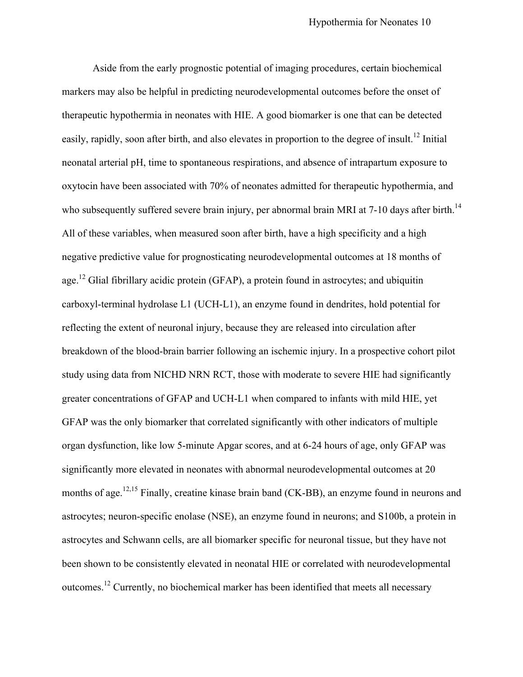Aside from the early prognostic potential of imaging procedures, certain biochemical markers may also be helpful in predicting neurodevelopmental outcomes before the onset of therapeutic hypothermia in neonates with HIE. A good biomarker is one that can be detected easily, rapidly, soon after birth, and also elevates in proportion to the degree of insult.<sup>12</sup> Initial neonatal arterial pH, time to spontaneous respirations, and absence of intrapartum exposure to oxytocin have been associated with 70% of neonates admitted for therapeutic hypothermia, and who subsequently suffered severe brain injury, per abnormal brain MRI at 7-10 days after birth.<sup>14</sup> All of these variables, when measured soon after birth, have a high specificity and a high negative predictive value for prognosticating neurodevelopmental outcomes at 18 months of age.<sup>12</sup> Glial fibrillary acidic protein (GFAP), a protein found in astrocytes; and ubiquitin carboxyl-terminal hydrolase L1 (UCH-L1), an enzyme found in dendrites, hold potential for reflecting the extent of neuronal injury, because they are released into circulation after breakdown of the blood-brain barrier following an ischemic injury. In a prospective cohort pilot study using data from NICHD NRN RCT, those with moderate to severe HIE had significantly greater concentrations of GFAP and UCH-L1 when compared to infants with mild HIE, yet GFAP was the only biomarker that correlated significantly with other indicators of multiple organ dysfunction, like low 5-minute Apgar scores, and at 6-24 hours of age, only GFAP was significantly more elevated in neonates with abnormal neurodevelopmental outcomes at 20 months of age.<sup>12,15</sup> Finally, creatine kinase brain band (CK-BB), an enzyme found in neurons and astrocytes; neuron-specific enolase (NSE), an enzyme found in neurons; and S100b, a protein in astrocytes and Schwann cells, are all biomarker specific for neuronal tissue, but they have not been shown to be consistently elevated in neonatal HIE or correlated with neurodevelopmental outcomes.<sup>12</sup> Currently, no biochemical marker has been identified that meets all necessary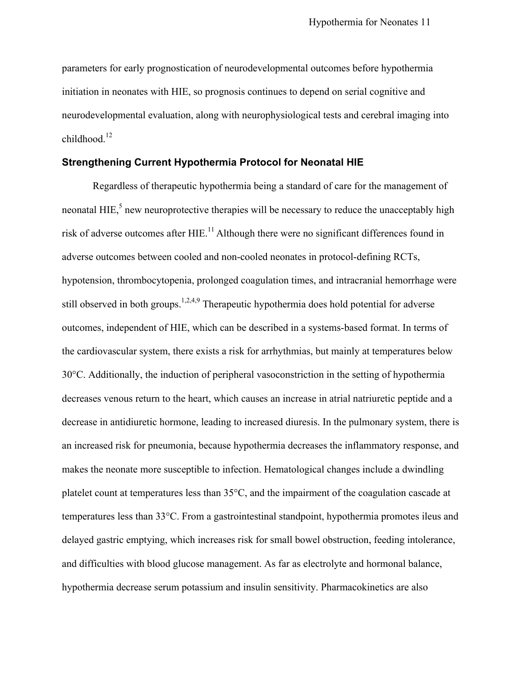parameters for early prognostication of neurodevelopmental outcomes before hypothermia initiation in neonates with HIE, so prognosis continues to depend on serial cognitive and neurodevelopmental evaluation, along with neurophysiological tests and cerebral imaging into childhood. 12

#### **Strengthening Current Hypothermia Protocol for Neonatal HIE**

Regardless of therapeutic hypothermia being a standard of care for the management of neonatal HIE, $\frac{5}{3}$  new neuroprotective therapies will be necessary to reduce the unacceptably high risk of adverse outcomes after HIE.<sup>11</sup> Although there were no significant differences found in adverse outcomes between cooled and non-cooled neonates in protocol-defining RCTs, hypotension, thrombocytopenia, prolonged coagulation times, and intracranial hemorrhage were still observed in both groups.<sup>1,2,4,9</sup> Therapeutic hypothermia does hold potential for adverse outcomes, independent of HIE, which can be described in a systems-based format. In terms of the cardiovascular system, there exists a risk for arrhythmias, but mainly at temperatures below 30°C. Additionally, the induction of peripheral vasoconstriction in the setting of hypothermia decreases venous return to the heart, which causes an increase in atrial natriuretic peptide and a decrease in antidiuretic hormone, leading to increased diuresis. In the pulmonary system, there is an increased risk for pneumonia, because hypothermia decreases the inflammatory response, and makes the neonate more susceptible to infection. Hematological changes include a dwindling platelet count at temperatures less than 35°C, and the impairment of the coagulation cascade at temperatures less than 33°C. From a gastrointestinal standpoint, hypothermia promotes ileus and delayed gastric emptying, which increases risk for small bowel obstruction, feeding intolerance, and difficulties with blood glucose management. As far as electrolyte and hormonal balance, hypothermia decrease serum potassium and insulin sensitivity. Pharmacokinetics are also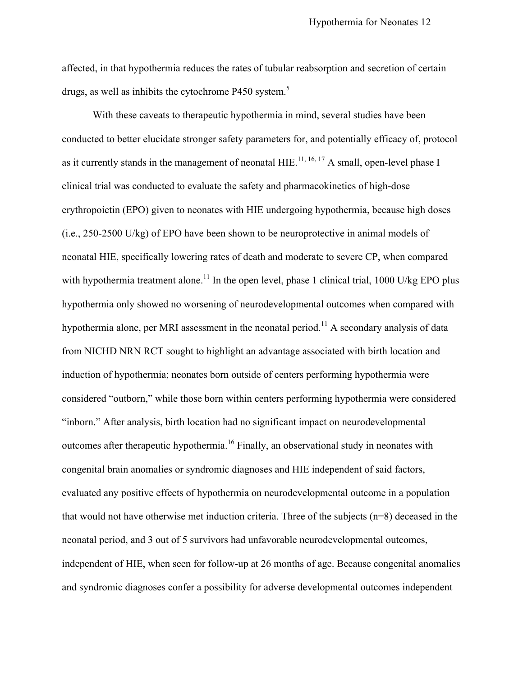affected, in that hypothermia reduces the rates of tubular reabsorption and secretion of certain drugs, as well as inhibits the cytochrome P450 system.<sup>5</sup>

With these caveats to therapeutic hypothermia in mind, several studies have been conducted to better elucidate stronger safety parameters for, and potentially efficacy of, protocol as it currently stands in the management of neonatal  $HIE$ <sup>11, 16, 17</sup> A small, open-level phase I clinical trial was conducted to evaluate the safety and pharmacokinetics of high-dose erythropoietin (EPO) given to neonates with HIE undergoing hypothermia, because high doses (i.e., 250-2500 U/kg) of EPO have been shown to be neuroprotective in animal models of neonatal HIE, specifically lowering rates of death and moderate to severe CP, when compared with hypothermia treatment alone.<sup>11</sup> In the open level, phase 1 clinical trial, 1000 U/kg EPO plus hypothermia only showed no worsening of neurodevelopmental outcomes when compared with hypothermia alone, per MRI assessment in the neonatal period.<sup>11</sup> A secondary analysis of data from NICHD NRN RCT sought to highlight an advantage associated with birth location and induction of hypothermia; neonates born outside of centers performing hypothermia were considered "outborn," while those born within centers performing hypothermia were considered "inborn." After analysis, birth location had no significant impact on neurodevelopmental outcomes after therapeutic hypothermia.<sup>16</sup> Finally, an observational study in neonates with congenital brain anomalies or syndromic diagnoses and HIE independent of said factors, evaluated any positive effects of hypothermia on neurodevelopmental outcome in a population that would not have otherwise met induction criteria. Three of the subjects (n=8) deceased in the neonatal period, and 3 out of 5 survivors had unfavorable neurodevelopmental outcomes, independent of HIE, when seen for follow-up at 26 months of age. Because congenital anomalies and syndromic diagnoses confer a possibility for adverse developmental outcomes independent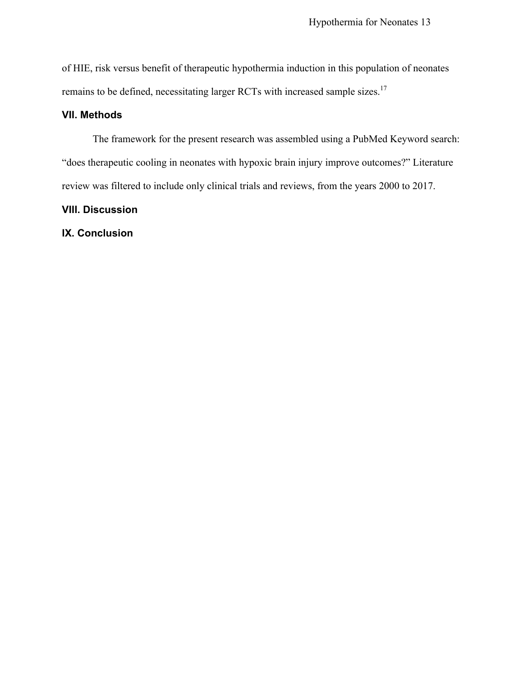of HIE, risk versus benefit of therapeutic hypothermia induction in this population of neonates remains to be defined, necessitating larger RCTs with increased sample sizes.<sup>17</sup>

#### **VII. Methods**

The framework for the present research was assembled using a PubMed Keyword search: "does therapeutic cooling in neonates with hypoxic brain injury improve outcomes?" Literature review was filtered to include only clinical trials and reviews, from the years 2000 to 2017.

#### **VIII. Discussion**

#### **IX. Conclusion**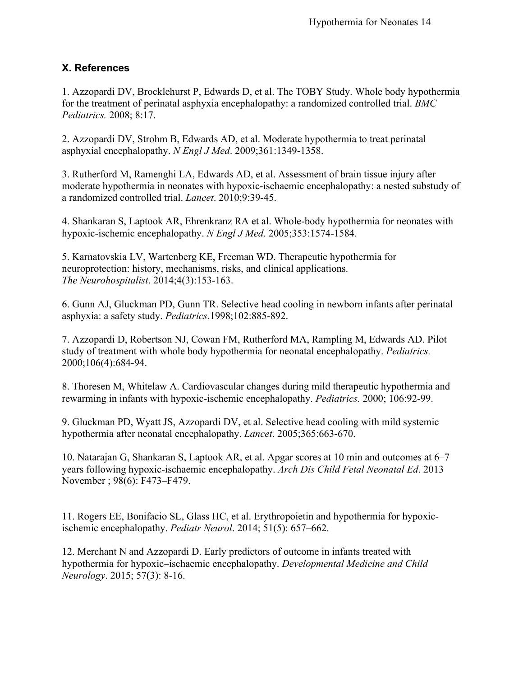#### **X. References**

1. Azzopardi DV, Brocklehurst P, Edwards D, et al. The TOBY Study. Whole body hypothermia for the treatment of perinatal asphyxia encephalopathy: a randomized controlled trial. *BMC Pediatrics.* 2008; 8:17.

2. Azzopardi DV, Strohm B, Edwards AD, et al. Moderate hypothermia to treat perinatal asphyxial encephalopathy. *N Engl J Med*. 2009;361:1349-1358.

3. Rutherford M, Ramenghi LA, Edwards AD, et al. Assessment of brain tissue injury after moderate hypothermia in neonates with hypoxic-ischaemic encephalopathy: a nested substudy of a randomized controlled trial. *Lancet*. 2010;9:39-45.

4. Shankaran S, Laptook AR, Ehrenkranz RA et al. Whole-body hypothermia for neonates with hypoxic-ischemic encephalopathy. *N Engl J Med*. 2005;353:1574-1584.

5. Karnatovskia LV, Wartenberg KE, Freeman WD. Therapeutic hypothermia for neuroprotection: history, mechanisms, risks, and clinical applications. *The Neurohospitalist*. 2014;4(3):153-163.

6. Gunn AJ, Gluckman PD, Gunn TR. Selective head cooling in newborn infants after perinatal asphyxia: a safety study. *Pediatrics.*1998;102:885-892.

7. Azzopardi D, Robertson NJ, Cowan FM, Rutherford MA, Rampling M, Edwards AD. Pilot study of treatment with whole body hypothermia for neonatal encephalopathy. *Pediatrics.*  2000;106(4):684-94.

8. Thoresen M, Whitelaw A. Cardiovascular changes during mild therapeutic hypothermia and rewarming in infants with hypoxic-ischemic encephalopathy. *Pediatrics.* 2000; 106:92-99.

9. Gluckman PD, Wyatt JS, Azzopardi DV, et al. Selective head cooling with mild systemic hypothermia after neonatal encephalopathy. *Lancet*. 2005;365:663-670.

10. Natarajan G, Shankaran S, Laptook AR, et al. Apgar scores at 10 min and outcomes at 6–7 years following hypoxic-ischaemic encephalopathy. *Arch Dis Child Fetal Neonatal Ed*. 2013 November ; 98(6): F473–F479.

11. Rogers EE, Bonifacio SL, Glass HC, et al. Erythropoietin and hypothermia for hypoxicischemic encephalopathy. *Pediatr Neurol*. 2014; 51(5): 657–662.

12. Merchant N and Azzopardi D. Early predictors of outcome in infants treated with hypothermia for hypoxic–ischaemic encephalopathy. *Developmental Medicine and Child Neurology*. 2015; 57(3): 8-16.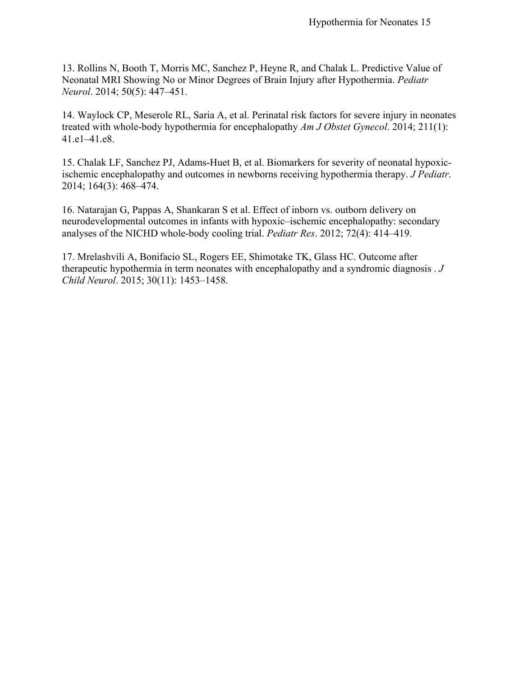13. Rollins N, Booth T, Morris MC, Sanchez P, Heyne R, and Chalak L. Predictive Value of Neonatal MRI Showing No or Minor Degrees of Brain Injury after Hypothermia. *Pediatr Neurol*. 2014; 50(5): 447–451.

14. Waylock CP, Meserole RL, Saria A, et al. Perinatal risk factors for severe injury in neonates treated with whole-body hypothermia for encephalopathy *Am J Obstet Gynecol*. 2014; 211(1): 41.e1–41.e8.

15. Chalak LF, Sanchez PJ, Adams-Huet B, et al. Biomarkers for severity of neonatal hypoxicischemic encephalopathy and outcomes in newborns receiving hypothermia therapy. *J Pediatr*. 2014; 164(3): 468–474.

16. Natarajan G, Pappas A, Shankaran S et al. Effect of inborn vs. outborn delivery on neurodevelopmental outcomes in infants with hypoxic–ischemic encephalopathy: secondary analyses of the NICHD whole-body cooling trial. *Pediatr Res*. 2012; 72(4): 414–419.

17. Mrelashvili A, Bonifacio SL, Rogers EE, Shimotake TK, Glass HC. Outcome after therapeutic hypothermia in term neonates with encephalopathy and a syndromic diagnosis . *J Child Neurol*. 2015; 30(11): 1453–1458.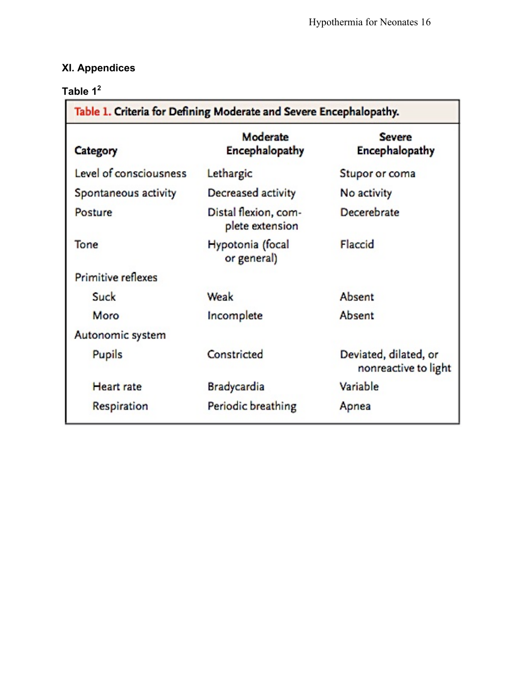## **XI. Appendices**

### **Table 1<sup>2</sup>**

| Table 1. Criteria for Defining Moderate and Severe Encephalopathy. |                                         |                                               |
|--------------------------------------------------------------------|-----------------------------------------|-----------------------------------------------|
| Category                                                           | Moderate<br><b>Encephalopathy</b>       | <b>Severe</b><br>Encephalopathy               |
| Level of consciousness                                             | Lethargic                               | Stupor or coma                                |
| Spontaneous activity                                               | Decreased activity                      | No activity                                   |
| Posture                                                            | Distal flexion, com-<br>plete extension | Decerebrate                                   |
| Tone                                                               | Hypotonia (focal<br>or general)         | Flaccid                                       |
| <b>Primitive reflexes</b>                                          |                                         |                                               |
| Suck                                                               | Weak                                    | Absent                                        |
| Moro                                                               | Incomplete                              | Absent                                        |
| Autonomic system                                                   |                                         |                                               |
| <b>Pupils</b>                                                      | Constricted                             | Deviated, dilated, or<br>nonreactive to light |
| <b>Heart</b> rate                                                  | <b>Bradycardia</b>                      | Variable                                      |
| Respiration                                                        | Periodic breathing                      | Apnea                                         |